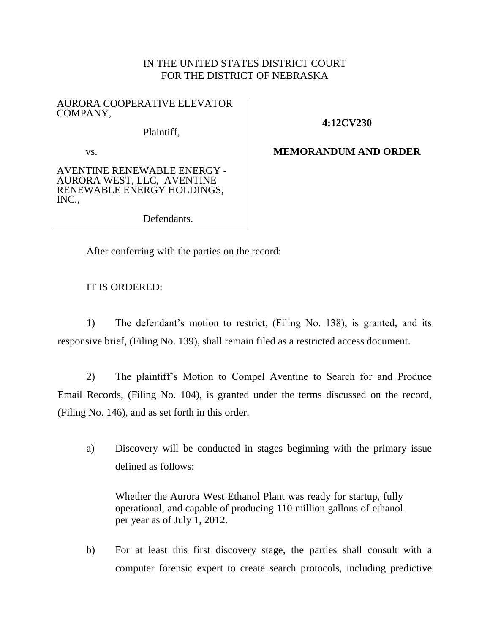## IN THE UNITED STATES DISTRICT COURT FOR THE DISTRICT OF NEBRASKA

### AURORA COOPERATIVE ELEVATOR COMPANY,

Plaintiff,

## **4:12CV230**

**MEMORANDUM AND ORDER**

AVENTINE RENEWABLE ENERGY - AURORA WEST, LLC, AVENTINE RENEWABLE ENERGY HOLDINGS, INC.,

vs.

Defendants.

After conferring with the parties on the record:

# IT IS ORDERED:

1) The defendant's motion to restrict, (Filing No. 138), is granted, and its responsive brief, (Filing No. 139), shall remain filed as a restricted access document.

2) The plaintiff's Motion to Compel Aventine to Search for and Produce Email Records, (Filing No. 104), is granted under the terms discussed on the record, (Filing No. 146), and as set forth in this order.

a) Discovery will be conducted in stages beginning with the primary issue defined as follows:

Whether the Aurora West Ethanol Plant was ready for startup, fully operational, and capable of producing 110 million gallons of ethanol per year as of July 1, 2012.

b) For at least this first discovery stage, the parties shall consult with a computer forensic expert to create search protocols, including predictive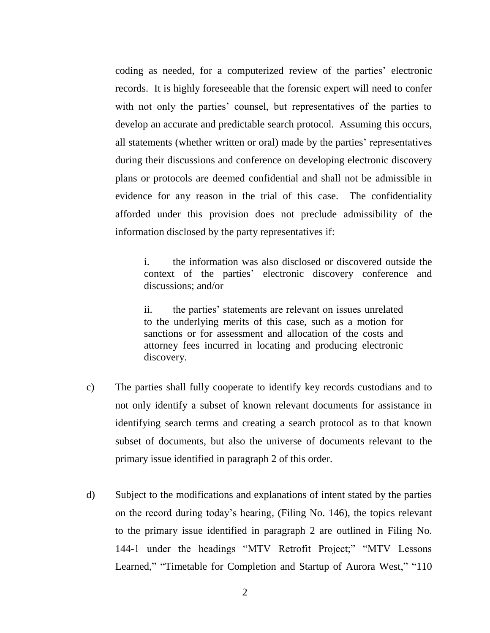coding as needed, for a computerized review of the parties' electronic records. It is highly foreseeable that the forensic expert will need to confer with not only the parties' counsel, but representatives of the parties to develop an accurate and predictable search protocol. Assuming this occurs, all statements (whether written or oral) made by the parties' representatives during their discussions and conference on developing electronic discovery plans or protocols are deemed confidential and shall not be admissible in evidence for any reason in the trial of this case. The confidentiality afforded under this provision does not preclude admissibility of the information disclosed by the party representatives if:

i. the information was also disclosed or discovered outside the context of the parties' electronic discovery conference and discussions; and/or

ii. the parties' statements are relevant on issues unrelated to the underlying merits of this case, such as a motion for sanctions or for assessment and allocation of the costs and attorney fees incurred in locating and producing electronic discovery.

- c) The parties shall fully cooperate to identify key records custodians and to not only identify a subset of known relevant documents for assistance in identifying search terms and creating a search protocol as to that known subset of documents, but also the universe of documents relevant to the primary issue identified in paragraph 2 of this order.
- d) Subject to the modifications and explanations of intent stated by the parties on the record during today's hearing, (Filing No. 146), the topics relevant to the primary issue identified in paragraph 2 are outlined in Filing No. 144-1 under the headings "MTV Retrofit Project;" "MTV Lessons Learned," "Timetable for Completion and Startup of Aurora West," "110